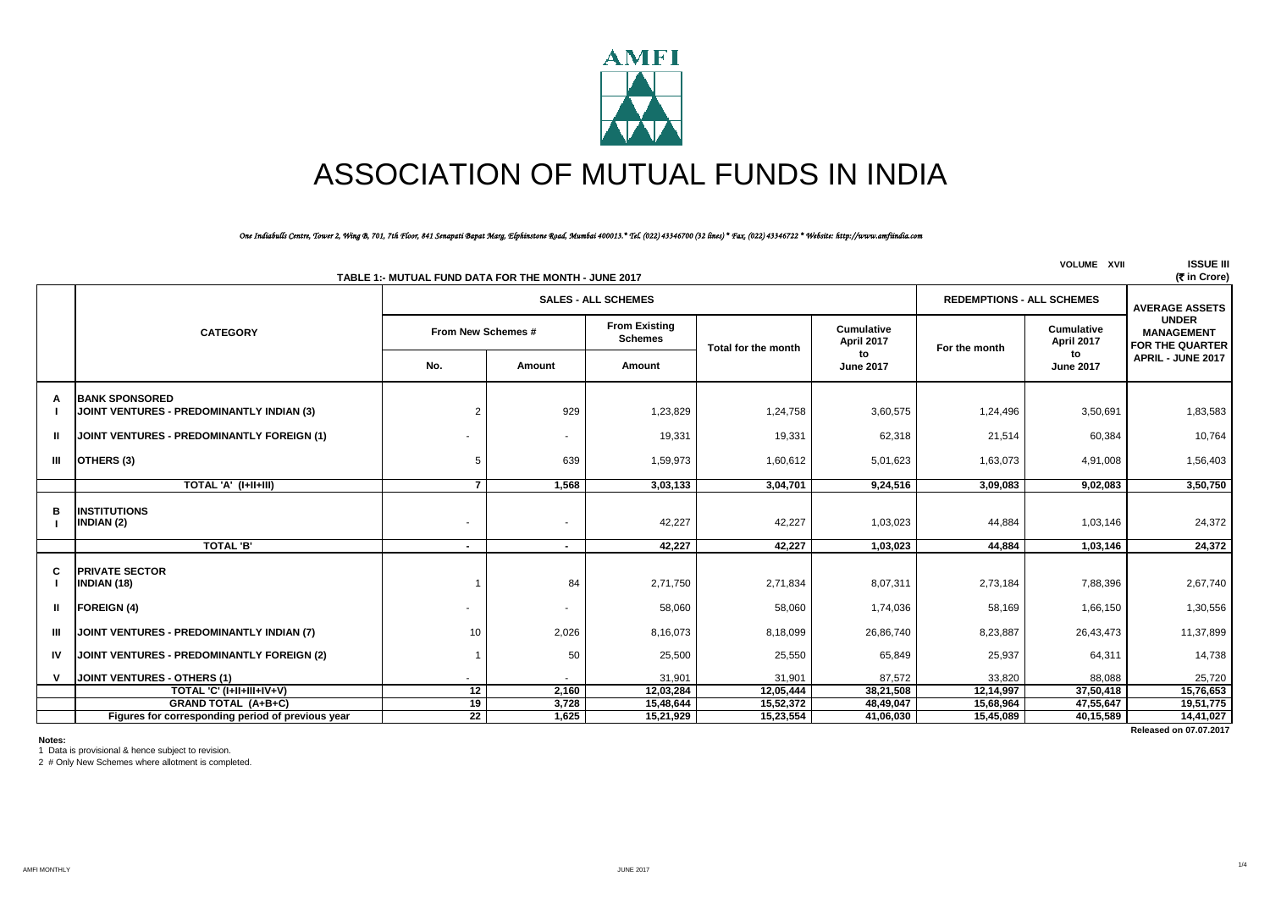

# ASSOCIATION OF MUTUAL FUNDS IN INDIA

#### *One Indiabulls Centre, Tower 2, Wing B, 701, 7th Floor, 841 Senapati Bapat Marg, Elphinstone Road, Mumbai 400013.\* Tel. (022) 43346700 (32 lines) \* Fax. (022) 43346722 \* Website: http://www.amfiindia.com*

| <b>VOLUME XVII</b><br>(रैं in Crore)<br>TABLE 1:- MUTUAL FUND DATA FOR THE MONTH - JUNE 2017 |                                                                    |                          |                |                                        |                     |                                 |                                  |                                 |                                                             |
|----------------------------------------------------------------------------------------------|--------------------------------------------------------------------|--------------------------|----------------|----------------------------------------|---------------------|---------------------------------|----------------------------------|---------------------------------|-------------------------------------------------------------|
|                                                                                              |                                                                    |                          |                | <b>SALES - ALL SCHEMES</b>             |                     |                                 | <b>REDEMPTIONS - ALL SCHEMES</b> |                                 | <b>AVERAGE ASSETS</b>                                       |
|                                                                                              | <b>CATEGORY</b>                                                    | From New Schemes #       |                | <b>From Existing</b><br><b>Schemes</b> | Total for the month | <b>Cumulative</b><br>April 2017 | For the month                    | <b>Cumulative</b><br>April 2017 | <b>UNDER</b><br><b>MANAGEMENT</b><br><b>FOR THE QUARTER</b> |
|                                                                                              |                                                                    | No.                      | Amount         | Amount                                 |                     | to<br><b>June 2017</b>          |                                  | to<br><b>June 2017</b>          | APRIL - JUNE 2017                                           |
| A                                                                                            | <b>BANK SPONSORED</b><br>JOINT VENTURES - PREDOMINANTLY INDIAN (3) |                          | 929            | 1,23,829                               | 1,24,758            | 3,60,575                        | 1,24,496                         | 3,50,691                        | 1,83,583                                                    |
| ш                                                                                            | JOINT VENTURES - PREDOMINANTLY FOREIGN (1)                         |                          | ٠              | 19,331                                 | 19,331              | 62,318                          | 21,514                           | 60,384                          | 10,764                                                      |
| Ш                                                                                            | OTHERS (3)                                                         | 5                        | 639            | 1,59,973                               | 1,60,612            | 5,01,623                        | 1,63,073                         | 4,91,008                        | 1,56,403                                                    |
|                                                                                              | TOTAL 'A' (I+II+III)                                               | $\overline{7}$           | 1,568          | 3,03,133                               | 3,04,701            | 9,24,516                        | 3,09,083                         | 9,02,083                        | 3,50,750                                                    |
| в                                                                                            | <b>INSTITUTIONS</b><br><b>INDIAN (2)</b>                           |                          |                | 42,227                                 | 42,227              | 1,03,023                        | 44,884                           | 1,03,146                        | 24,372                                                      |
|                                                                                              | <b>TOTAL 'B'</b>                                                   | $\overline{\phantom{a}}$ | $\blacksquare$ | 42.227                                 | 42.227              | 1.03.023                        | 44.884                           | 1,03,146                        | 24,372                                                      |
| C<br>Ш                                                                                       | <b>PRIVATE SECTOR</b><br>INDIAN (18)<br><b>FOREIGN (4)</b>         |                          | 84<br>٠        | 2,71,750<br>58,060                     | 2,71,834<br>58,060  | 8,07,311<br>1,74,036            | 2,73,184<br>58,169               | 7,88,396<br>1,66,150            | 2,67,740<br>1,30,556                                        |
|                                                                                              |                                                                    |                          |                |                                        |                     |                                 |                                  |                                 |                                                             |
| Ш                                                                                            | JOINT VENTURES - PREDOMINANTLY INDIAN (7)                          | 10 <sup>1</sup>          | 2,026          | 8,16,073                               | 8,18,099            | 26,86,740                       | 8,23,887                         | 26,43,473                       | 11,37,899                                                   |
| IV                                                                                           | JOINT VENTURES - PREDOMINANTLY FOREIGN (2)                         |                          | 50             | 25,500                                 | 25,550              | 65,849                          | 25,937                           | 64,311                          | 14,738                                                      |
|                                                                                              | JOINT VENTURES - OTHERS (1)                                        |                          |                | 31,901                                 | 31,901              | 87,572                          | 33,820                           | 88,088                          | 25,720                                                      |
|                                                                                              | TOTAL 'C' (I+II+III+IV+V)                                          | 12                       | 2,160          | 12,03,284                              | 12,05,444           | 38,21,508                       | 12,14,997                        | 37,50,418                       | 15,76,653                                                   |
|                                                                                              | <b>GRAND TOTAL (A+B+C)</b>                                         | 19                       | 3,728          | 15,48,644                              | 15,52,372           | 48,49,047                       | 15,68,964                        | 47,55,647                       | 19,51,775                                                   |
|                                                                                              | Figures for corresponding period of previous year                  | $\overline{22}$          | 1,625          | 15,21,929                              | 15,23,554           | 41,06,030                       | 15,45,089                        | 40,15,589                       | 14,41,027                                                   |
|                                                                                              |                                                                    |                          |                |                                        |                     |                                 |                                  |                                 | Released on 07.07.2017                                      |

**Notes:**

1 Data is provisional & hence subject to revision.

2 # Only New Schemes where allotment is completed.

1/4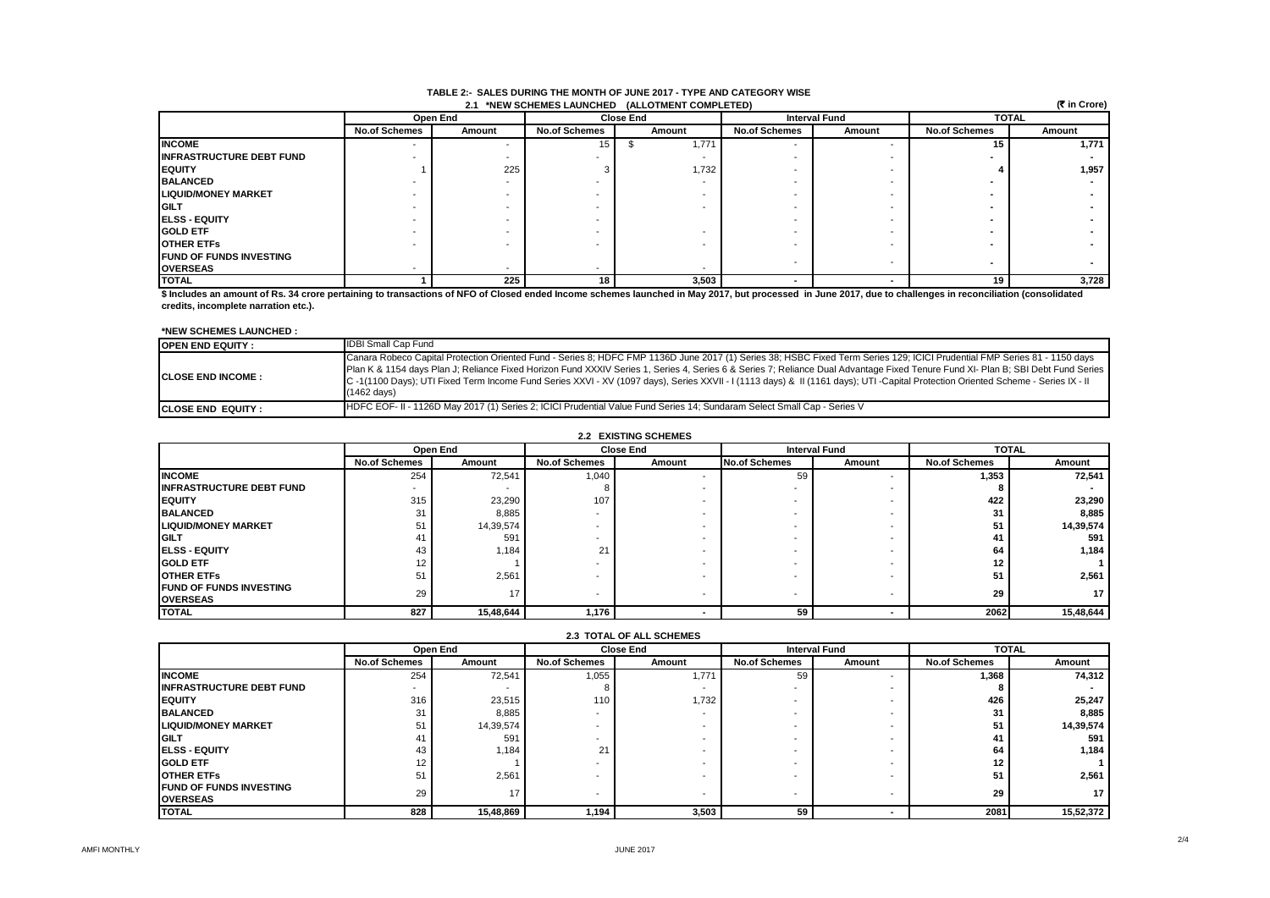#### **2.1 \*NEW SCHEMES LAUNCHED (ALLOTMENT TABLE 2:- SALES DURING THE MONTH OF JUNE 2017 - TYPE AND CATEGORY WISE**

| (₹ in Crore)<br>2.1 *NEW SCHEMES LAUNCHED (ALLOTMENT COMPLETED) |                      |          |                      |                  |                      |                      |                      |              |  |
|-----------------------------------------------------------------|----------------------|----------|----------------------|------------------|----------------------|----------------------|----------------------|--------------|--|
|                                                                 |                      | Open End |                      | <b>Close End</b> |                      | <b>Interval Fund</b> |                      | <b>TOTAL</b> |  |
|                                                                 | <b>No.of Schemes</b> | Amount   | <b>No.of Schemes</b> | Amount           | <b>No.of Schemes</b> | Amount               | <b>No.of Schemes</b> | Amount       |  |
| <b>INCOME</b>                                                   |                      |          | 15                   | 1,771            |                      |                      | 15                   | 1,771        |  |
| <b>INFRASTRUCTURE DEBT FUND</b>                                 |                      | -        |                      |                  |                      |                      |                      |              |  |
| <b>IEQUITY</b>                                                  |                      | 225      |                      | 1,732            |                      |                      |                      | 1,957        |  |
| <b>BALANCED</b>                                                 |                      |          |                      |                  |                      |                      |                      |              |  |
| <b>LIQUID/MONEY MARKET</b>                                      |                      |          |                      |                  |                      |                      |                      |              |  |
| <b>IGILT</b>                                                    |                      |          |                      |                  |                      |                      |                      |              |  |
| <b>IELSS - EQUITY</b>                                           |                      |          |                      |                  |                      |                      |                      |              |  |
| <b>GOLD ETF</b>                                                 |                      |          |                      |                  |                      |                      |                      |              |  |
| <b>OTHER ETFS</b>                                               |                      |          |                      |                  |                      |                      |                      |              |  |
| <b>IFUND OF FUNDS INVESTING</b>                                 |                      |          |                      |                  |                      |                      |                      |              |  |
| <b>OVERSEAS</b>                                                 |                      |          |                      |                  |                      |                      |                      |              |  |
| <b>TOTAL</b>                                                    |                      | 225      | 18                   | 3,503            |                      |                      | 19                   | 3,728        |  |

**\$ Includes an amount of Rs. 34 crore pertaining to transactions of NFO of Closed ended Income schemes launched in May 2017, but processed in June 2017, due to challenges in reconciliation (consolidated credits, incomplete narration etc.).**

#### **\*NEW SCHEMES LAUNCHED :**

| <b>OPEN END EQUITY:</b>    | <b>IDBI Small Cap Fund</b>                                                                                                                                                                                                                                                                                                                                                                                                                                                                                                                                                   |
|----------------------------|------------------------------------------------------------------------------------------------------------------------------------------------------------------------------------------------------------------------------------------------------------------------------------------------------------------------------------------------------------------------------------------------------------------------------------------------------------------------------------------------------------------------------------------------------------------------------|
| <b>ICLOSE END INCOME :</b> | Canara Robeco Capital Protection Oriented Fund - Series 8; HDFC FMP 1136D June 2017 (1) Series 38; HSBC Fixed Term Series 129; ICICI Prudential FMP Series 81 - 1150 days<br>Plan K & 1154 days Plan J; Reliance Fixed Horizon Fund XXXIV Series 1, Series 4, Series 6 & Series 7; Reliance Dual Advantage Fixed Tenure Fund XI- Plan B; SBI Debt Fund Series  <br>C-1(1100 Days); UTI Fixed Term Income Fund Series XXVI - XV (1097 days), Series XXVII - I (1113 days) & II (1161 days); UTI -Capital Protection Oriented Scheme - Series IX - II<br>$(1462 \text{ days})$ |
| <b>ICLOSE END EQUITY :</b> | IHDFC EOF- II - 1126D May 2017 (1) Series 2; ICICI Prudential Value Fund Series 14; Sundaram Select Small Cap - Series V                                                                                                                                                                                                                                                                                                                                                                                                                                                     |

#### **2.2 EXISTING SCHEMES**

|                                                    | Open End             |                          |                          | <b>Close End</b> | <b>Interval Fund</b> |                          | <b>TOTAL</b>         |           |
|----------------------------------------------------|----------------------|--------------------------|--------------------------|------------------|----------------------|--------------------------|----------------------|-----------|
|                                                    | <b>No.of Schemes</b> | Amount                   | <b>No.of Schemes</b>     | Amount           | <b>No.of Schemes</b> | Amount                   | <b>No.of Schemes</b> | Amount    |
| <b>INCOME</b>                                      | 254                  | 72,541                   | 1,040                    |                  | 59                   |                          | 1,353                | 72,541    |
| <b>INFRASTRUCTURE DEBT FUND</b>                    | $\blacksquare$       | $\overline{\phantom{a}}$ |                          |                  |                      |                          | 8                    |           |
| <b>IEQUITY</b>                                     | 315                  | 23,290                   | 107                      |                  |                      | $\overline{\phantom{a}}$ | 422                  | 23,290    |
| <b>BALANCED</b>                                    | 31                   | 8,885                    | .                        |                  |                      |                          | 31                   | 8,885     |
| <b>LIQUID/MONEY MARKET</b>                         | 51                   | 14,39,574                |                          |                  |                      | $\overline{\phantom{a}}$ | 51                   | 14,39,574 |
| <b>IGILT</b>                                       | 41                   | 591                      |                          |                  |                      | $\overline{\phantom{a}}$ |                      | 591       |
| <b>IELSS - EQUITY</b>                              | 43                   | 1,184                    | 21                       |                  |                      |                          | 64                   | 1,184     |
| <b>GOLD ETF</b>                                    | 12                   |                          |                          |                  |                      | $\overline{\phantom{a}}$ | 12                   |           |
| <b>OTHER ETFS</b>                                  | 51                   | 2,561                    |                          |                  |                      | $\overline{\phantom{a}}$ | 51                   | 2,561     |
| <b>IFUND OF FUNDS INVESTING</b><br><b>OVERSEAS</b> | 29                   | 17                       | $\overline{\phantom{a}}$ | -                |                      | $\overline{\phantom{a}}$ | 29                   | 17        |
| <b>TOTAL</b>                                       | 827                  | 15,48,644                | 1,176                    |                  | 59                   |                          | 2062                 | 15,48,644 |

|                                                    | <b>2.3 TOTAL OF ALL SCHEMES</b> |           |                          |        |                          |                          |                      |                 |  |
|----------------------------------------------------|---------------------------------|-----------|--------------------------|--------|--------------------------|--------------------------|----------------------|-----------------|--|
|                                                    |                                 | Open End  | <b>Close End</b>         |        | <b>Interval Fund</b>     |                          |                      | <b>TOTAL</b>    |  |
|                                                    | <b>No.of Schemes</b>            | Amount    | <b>No.of Schemes</b>     | Amount | <b>No.of Schemes</b>     | Amount                   | <b>No.of Schemes</b> | Amount          |  |
| <b>INCOME</b>                                      | 254                             | 72,541    | 1,055                    | 1.771  | 59                       |                          | 1,368                | 74,312          |  |
| <b>INFRASTRUCTURE DEBT FUND</b>                    | . .                             |           |                          |        |                          |                          |                      |                 |  |
| <b>IEQUITY</b>                                     | 316                             | 23,515    | 110                      | 1,732  |                          |                          | 426                  | 25,247          |  |
| <b>BALANCED</b>                                    | 31                              | 8,885     |                          |        |                          |                          | 31                   | 8,885           |  |
| <b>LIQUID/MONEY MARKET</b>                         | 51                              | 14,39,574 |                          |        |                          | $\overline{\phantom{a}}$ | 51                   | 14,39,574       |  |
| <b>IGILT</b>                                       | 4.                              | 59        |                          |        |                          |                          | 41                   | 591             |  |
| <b>IELSS - EQUITY</b>                              | 43                              | 1.184     | 21                       |        |                          |                          | 64                   | 1,184           |  |
| <b>GOLD ETF</b>                                    | 12                              |           |                          |        |                          |                          | $12 \,$              |                 |  |
| <b>OTHER ETFS</b>                                  | 51                              | 2,561     |                          |        |                          |                          | 51                   | 2,561           |  |
| <b>IFUND OF FUNDS INVESTING</b><br><b>OVERSEAS</b> | 29                              | 17        | $\overline{\phantom{a}}$ |        | $\overline{\phantom{0}}$ | $\overline{\phantom{a}}$ | 29                   | 17 <sup>1</sup> |  |
| <b>TOTAL</b>                                       | 828                             | 15,48,869 | 1,194                    | 3,503  | 59                       |                          | 2081                 | 15,52,372       |  |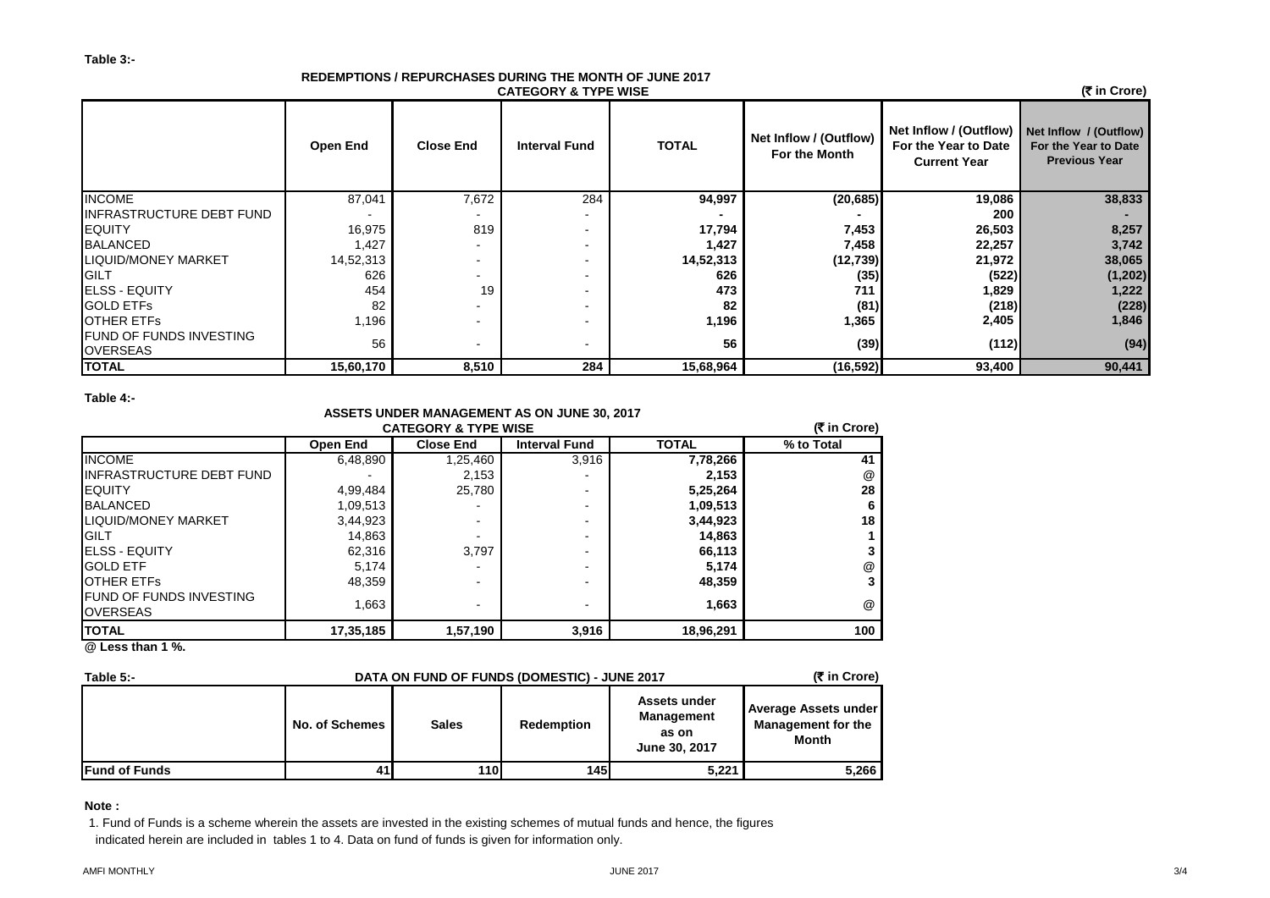#### **REDEMPTIONS / REPURCHASES DURING THE MONTH OF JUNE 2017 CATEGORY & TYPE WISE**

 **(**` **in Crore)**

|                                                   | <b>Open End</b> | <b>Close End</b>         | <b>Interval Fund</b> | <b>TOTAL</b> | Net Inflow / (Outflow)<br>For the Month | Net Inflow / (Outflow) Net Inflow / (Outflow)<br>For the Year to Date<br><b>Current Year</b> | For the Year to Date<br><b>Previous Year</b> |
|---------------------------------------------------|-----------------|--------------------------|----------------------|--------------|-----------------------------------------|----------------------------------------------------------------------------------------------|----------------------------------------------|
| <b>INCOME</b>                                     | 87,041          | 7,672                    | 284                  | 94,997       | (20, 685)                               | 19,086                                                                                       | 38,833                                       |
| INFRASTRUCTURE DEBT FUND                          |                 |                          |                      |              |                                         | 200                                                                                          |                                              |
| <b>IEQUITY</b>                                    | 16,975          | 819                      |                      | 17,794       | 7,453                                   | 26,503                                                                                       | 8,257                                        |
| <b>BALANCED</b>                                   | 1,427           |                          |                      | 1,427        | 7,458                                   | 22,257                                                                                       | 3,742                                        |
| <b>LIQUID/MONEY MARKET</b>                        | 14,52,313       | $\overline{\phantom{0}}$ |                      | 14,52,313    | (12, 739)                               | 21,972                                                                                       | 38,065                                       |
| <b>GILT</b>                                       | 626             | $\overline{\phantom{0}}$ |                      | 626          | (35)                                    | (522)                                                                                        | (1, 202)                                     |
| <b>IELSS - EQUITY</b>                             | 454             | 19                       |                      | 473          | 711                                     | 1,829                                                                                        | 1,222                                        |
| <b>GOLD ETFS</b>                                  | 82              |                          |                      | 82           | (81)                                    | (218)                                                                                        | (228)                                        |
| <b>JOTHER ETFS</b>                                | 1,196           |                          |                      | 1,196        | 1,365                                   | 2,405                                                                                        | 1,846                                        |
| <b>FUND OF FUNDS INVESTING</b><br><b>OVERSEAS</b> | 56              |                          | $\blacksquare$       | 56           | (39)                                    | (112)                                                                                        | (94)                                         |
| <b>TOTAL</b>                                      | 15,60,170       | 8,510                    | 284                  | 15,68,964    | (16,592)                                | 93,400                                                                                       | 90,441                                       |

**Table 4:-**

## **ASSETS UNDER MANAGEMENT AS ON JUNE 30, 2017**

| (₹ in Crore)<br><b>CATEGORY &amp; TYPE WISE</b>   |                 |                          |                          |              |                      |  |  |  |
|---------------------------------------------------|-----------------|--------------------------|--------------------------|--------------|----------------------|--|--|--|
|                                                   | <b>Open End</b> | <b>Close End</b>         | <b>Interval Fund</b>     | <b>TOTAL</b> | % to Total           |  |  |  |
| <b>INCOME</b>                                     | 6,48,890        | 1,25,460                 | 3,916                    | 7,78,266     | 41                   |  |  |  |
| IINFRASTRUCTURE DEBT FUND                         |                 | 2,153                    |                          | 2,153        | @                    |  |  |  |
| <b>EQUITY</b>                                     | 4,99,484        | 25,780                   |                          | 5,25,264     | 28                   |  |  |  |
| <b>BALANCED</b>                                   | 1,09,513        |                          | -                        | 1,09,513     | 6                    |  |  |  |
| <b>LIQUID/MONEY MARKET</b>                        | 3,44,923        |                          |                          | 3,44,923     | 18                   |  |  |  |
| <b>GILT</b>                                       | 14,863          |                          |                          | 14,863       |                      |  |  |  |
| <b>IELSS - EQUITY</b>                             | 62,316          | 3,797                    |                          | 66,113       |                      |  |  |  |
| <b>GOLD ETF</b>                                   | 5,174           |                          |                          | 5,174        | @                    |  |  |  |
| <b>IOTHER ETFS</b>                                | 48,359          |                          |                          | 48,359       | 3                    |  |  |  |
| <b>FUND OF FUNDS INVESTING</b><br><b>OVERSEAS</b> | 1,663           | $\overline{\phantom{0}}$ | $\overline{\phantom{0}}$ | 1,663        | $^{\textregistered}$ |  |  |  |
| <b>TOTAL</b>                                      | 17,35,185       | 1,57,190                 | 3,916                    | 18,96,291    | 100                  |  |  |  |
| $\sim$ $\sim$ $\sim$ $\sim$ $\sim$                |                 |                          |                          |              |                      |  |  |  |

**@ Less than 1 %.**

| Table $5 -$<br>DATA ON FUND OF FUNDS (DOMESTIC) - JUNE 2017 |                |              |            |                                                                    |                                                                   |  |
|-------------------------------------------------------------|----------------|--------------|------------|--------------------------------------------------------------------|-------------------------------------------------------------------|--|
|                                                             | No. of Schemes | <b>Sales</b> | Redemption | <b>Assets under</b><br><b>Management</b><br>as on<br>June 30, 2017 | Average Assets under<br><b>Management for the</b><br><b>Month</b> |  |
| <b>Fund of Funds</b>                                        | 41             | <b>110</b>   | 145        | 5,221                                                              | 5,266                                                             |  |

**Note :**

1. Fund of Funds is a scheme wherein the assets are invested in the existing schemes of mutual funds and hence, the figures indicated herein are included in tables 1 to 4. Data on fund of funds is given for information only.